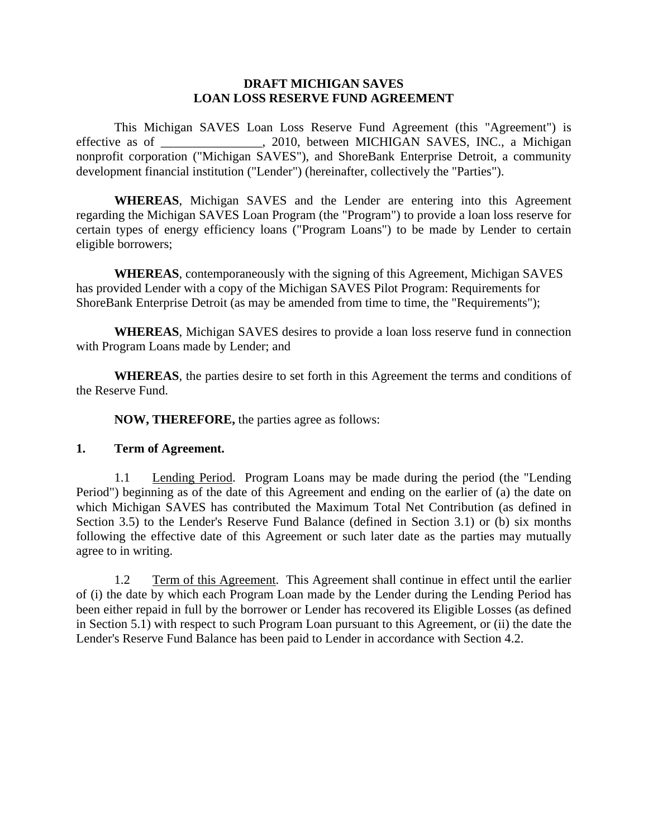#### **DRAFT MICHIGAN SAVES LOAN LOSS RESERVE FUND AGREEMENT**

This Michigan SAVES Loan Loss Reserve Fund Agreement (this "Agreement") is effective as of \_\_\_\_\_\_\_\_\_\_\_\_\_\_\_\_, 2010, between MICHIGAN SAVES, INC., a Michigan nonprofit corporation ("Michigan SAVES"), and ShoreBank Enterprise Detroit, a community development financial institution ("Lender") (hereinafter, collectively the "Parties").

**WHEREAS**, Michigan SAVES and the Lender are entering into this Agreement regarding the Michigan SAVES Loan Program (the "Program") to provide a loan loss reserve for certain types of energy efficiency loans ("Program Loans") to be made by Lender to certain eligible borrowers;

**WHEREAS**, contemporaneously with the signing of this Agreement, Michigan SAVES has provided Lender with a copy of the Michigan SAVES Pilot Program: Requirements for ShoreBank Enterprise Detroit (as may be amended from time to time, the "Requirements");

**WHEREAS**, Michigan SAVES desires to provide a loan loss reserve fund in connection with Program Loans made by Lender; and

**WHEREAS**, the parties desire to set forth in this Agreement the terms and conditions of the Reserve Fund.

**NOW, THEREFORE,** the parties agree as follows:

# **1. Term of Agreement.**

1.1 Lending Period. Program Loans may be made during the period (the "Lending Period") beginning as of the date of this Agreement and ending on the earlier of (a) the date on which Michigan SAVES has contributed the Maximum Total Net Contribution (as defined in Section 3.5) to the Lender's Reserve Fund Balance (defined in Section 3.1) or (b) six months following the effective date of this Agreement or such later date as the parties may mutually agree to in writing.

1.2 Term of this Agreement. This Agreement shall continue in effect until the earlier of (i) the date by which each Program Loan made by the Lender during the Lending Period has been either repaid in full by the borrower or Lender has recovered its Eligible Losses (as defined in Section 5.1) with respect to such Program Loan pursuant to this Agreement, or (ii) the date the Lender's Reserve Fund Balance has been paid to Lender in accordance with Section 4.2.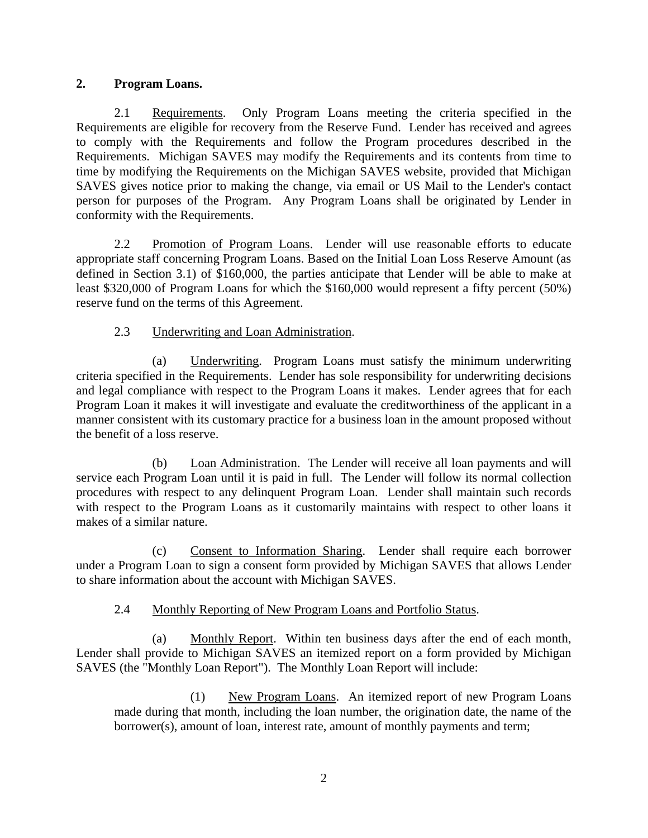# **2. Program Loans.**

2.1 Requirements. Only Program Loans meeting the criteria specified in the Requirements are eligible for recovery from the Reserve Fund. Lender has received and agrees to comply with the Requirements and follow the Program procedures described in the Requirements. Michigan SAVES may modify the Requirements and its contents from time to time by modifying the Requirements on the Michigan SAVES website, provided that Michigan SAVES gives notice prior to making the change, via email or US Mail to the Lender's contact person for purposes of the Program. Any Program Loans shall be originated by Lender in conformity with the Requirements.

2.2 Promotion of Program Loans. Lender will use reasonable efforts to educate appropriate staff concerning Program Loans. Based on the Initial Loan Loss Reserve Amount (as defined in Section 3.1) of \$160,000, the parties anticipate that Lender will be able to make at least \$320,000 of Program Loans for which the \$160,000 would represent a fifty percent (50%) reserve fund on the terms of this Agreement.

# 2.3 Underwriting and Loan Administration.

(a) Underwriting. Program Loans must satisfy the minimum underwriting criteria specified in the Requirements. Lender has sole responsibility for underwriting decisions and legal compliance with respect to the Program Loans it makes. Lender agrees that for each Program Loan it makes it will investigate and evaluate the creditworthiness of the applicant in a manner consistent with its customary practice for a business loan in the amount proposed without the benefit of a loss reserve.

(b) Loan Administration. The Lender will receive all loan payments and will service each Program Loan until it is paid in full. The Lender will follow its normal collection procedures with respect to any delinquent Program Loan. Lender shall maintain such records with respect to the Program Loans as it customarily maintains with respect to other loans it makes of a similar nature.

(c) Consent to Information Sharing. Lender shall require each borrower under a Program Loan to sign a consent form provided by Michigan SAVES that allows Lender to share information about the account with Michigan SAVES.

# 2.4 Monthly Reporting of New Program Loans and Portfolio Status.

(a) Monthly Report. Within ten business days after the end of each month, Lender shall provide to Michigan SAVES an itemized report on a form provided by Michigan SAVES (the "Monthly Loan Report"). The Monthly Loan Report will include:

(1) New Program Loans. An itemized report of new Program Loans made during that month, including the loan number, the origination date, the name of the borrower(s), amount of loan, interest rate, amount of monthly payments and term;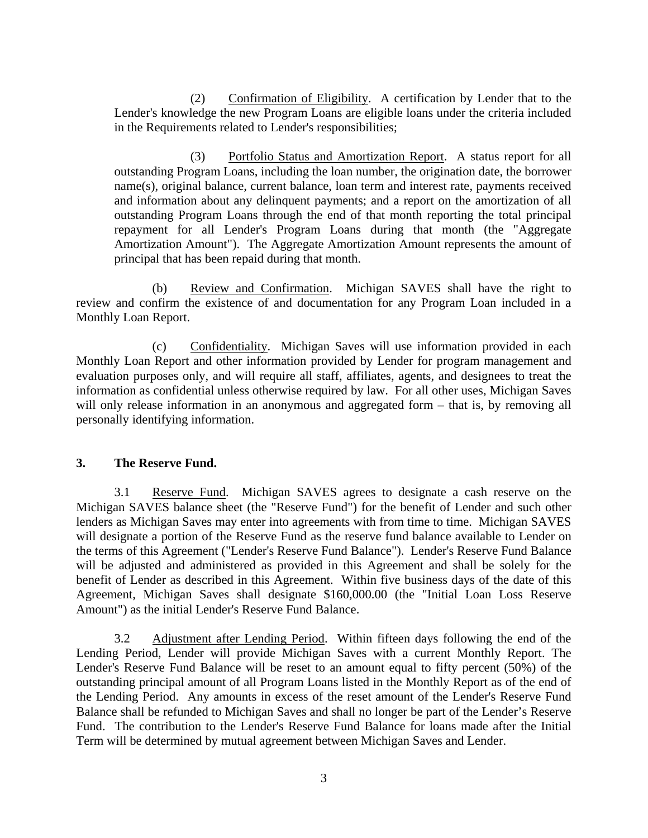(2) Confirmation of Eligibility. A certification by Lender that to the Lender's knowledge the new Program Loans are eligible loans under the criteria included in the Requirements related to Lender's responsibilities;

(3) Portfolio Status and Amortization Report. A status report for all outstanding Program Loans, including the loan number, the origination date, the borrower name(s), original balance, current balance, loan term and interest rate, payments received and information about any delinquent payments; and a report on the amortization of all outstanding Program Loans through the end of that month reporting the total principal repayment for all Lender's Program Loans during that month (the "Aggregate Amortization Amount"). The Aggregate Amortization Amount represents the amount of principal that has been repaid during that month.

(b) Review and Confirmation. Michigan SAVES shall have the right to review and confirm the existence of and documentation for any Program Loan included in a Monthly Loan Report.

(c) Confidentiality. Michigan Saves will use information provided in each Monthly Loan Report and other information provided by Lender for program management and evaluation purposes only, and will require all staff, affiliates, agents, and designees to treat the information as confidential unless otherwise required by law. For all other uses, Michigan Saves will only release information in an anonymous and aggregated form – that is, by removing all personally identifying information.

# **3. The Reserve Fund.**

3.1 Reserve Fund. Michigan SAVES agrees to designate a cash reserve on the Michigan SAVES balance sheet (the "Reserve Fund") for the benefit of Lender and such other lenders as Michigan Saves may enter into agreements with from time to time. Michigan SAVES will designate a portion of the Reserve Fund as the reserve fund balance available to Lender on the terms of this Agreement ("Lender's Reserve Fund Balance"). Lender's Reserve Fund Balance will be adjusted and administered as provided in this Agreement and shall be solely for the benefit of Lender as described in this Agreement. Within five business days of the date of this Agreement, Michigan Saves shall designate \$160,000.00 (the "Initial Loan Loss Reserve Amount") as the initial Lender's Reserve Fund Balance.

3.2 Adjustment after Lending Period. Within fifteen days following the end of the Lending Period, Lender will provide Michigan Saves with a current Monthly Report. The Lender's Reserve Fund Balance will be reset to an amount equal to fifty percent (50%) of the outstanding principal amount of all Program Loans listed in the Monthly Report as of the end of the Lending Period. Any amounts in excess of the reset amount of the Lender's Reserve Fund Balance shall be refunded to Michigan Saves and shall no longer be part of the Lender's Reserve Fund. The contribution to the Lender's Reserve Fund Balance for loans made after the Initial Term will be determined by mutual agreement between Michigan Saves and Lender.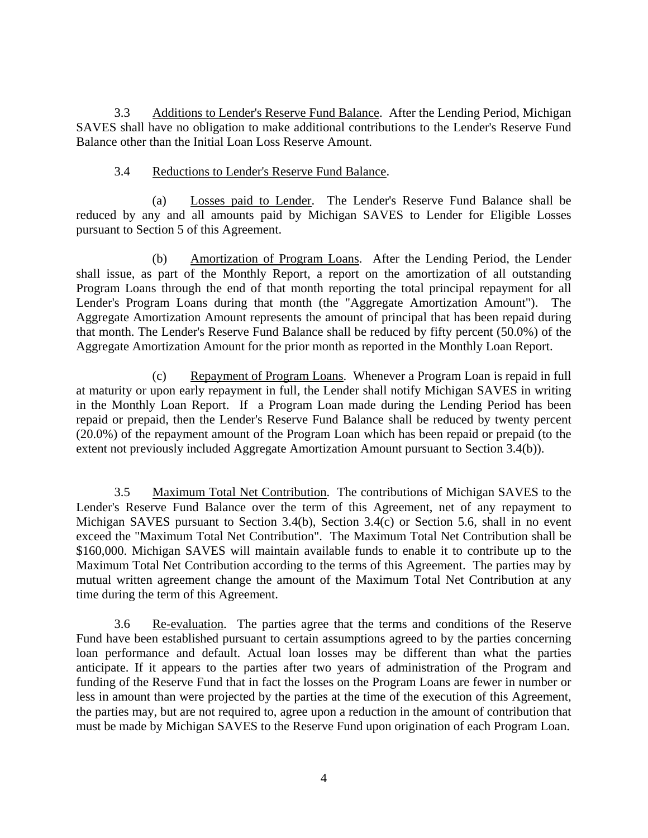3.3 Additions to Lender's Reserve Fund Balance. After the Lending Period, Michigan SAVES shall have no obligation to make additional contributions to the Lender's Reserve Fund Balance other than the Initial Loan Loss Reserve Amount.

### 3.4 Reductions to Lender's Reserve Fund Balance.

(a) Losses paid to Lender. The Lender's Reserve Fund Balance shall be reduced by any and all amounts paid by Michigan SAVES to Lender for Eligible Losses pursuant to Section 5 of this Agreement.

(b) Amortization of Program Loans. After the Lending Period, the Lender shall issue, as part of the Monthly Report, a report on the amortization of all outstanding Program Loans through the end of that month reporting the total principal repayment for all Lender's Program Loans during that month (the "Aggregate Amortization Amount"). The Aggregate Amortization Amount represents the amount of principal that has been repaid during that month. The Lender's Reserve Fund Balance shall be reduced by fifty percent (50.0%) of the Aggregate Amortization Amount for the prior month as reported in the Monthly Loan Report.

(c) Repayment of Program Loans. Whenever a Program Loan is repaid in full at maturity or upon early repayment in full, the Lender shall notify Michigan SAVES in writing in the Monthly Loan Report. If a Program Loan made during the Lending Period has been repaid or prepaid, then the Lender's Reserve Fund Balance shall be reduced by twenty percent (20.0%) of the repayment amount of the Program Loan which has been repaid or prepaid (to the extent not previously included Aggregate Amortization Amount pursuant to Section 3.4(b)).

3.5 Maximum Total Net Contribution. The contributions of Michigan SAVES to the Lender's Reserve Fund Balance over the term of this Agreement, net of any repayment to Michigan SAVES pursuant to Section 3.4(b), Section 3.4(c) or Section 5.6, shall in no event exceed the "Maximum Total Net Contribution". The Maximum Total Net Contribution shall be \$160,000. Michigan SAVES will maintain available funds to enable it to contribute up to the Maximum Total Net Contribution according to the terms of this Agreement. The parties may by mutual written agreement change the amount of the Maximum Total Net Contribution at any time during the term of this Agreement.

3.6 Re-evaluation. The parties agree that the terms and conditions of the Reserve Fund have been established pursuant to certain assumptions agreed to by the parties concerning loan performance and default. Actual loan losses may be different than what the parties anticipate. If it appears to the parties after two years of administration of the Program and funding of the Reserve Fund that in fact the losses on the Program Loans are fewer in number or less in amount than were projected by the parties at the time of the execution of this Agreement, the parties may, but are not required to, agree upon a reduction in the amount of contribution that must be made by Michigan SAVES to the Reserve Fund upon origination of each Program Loan.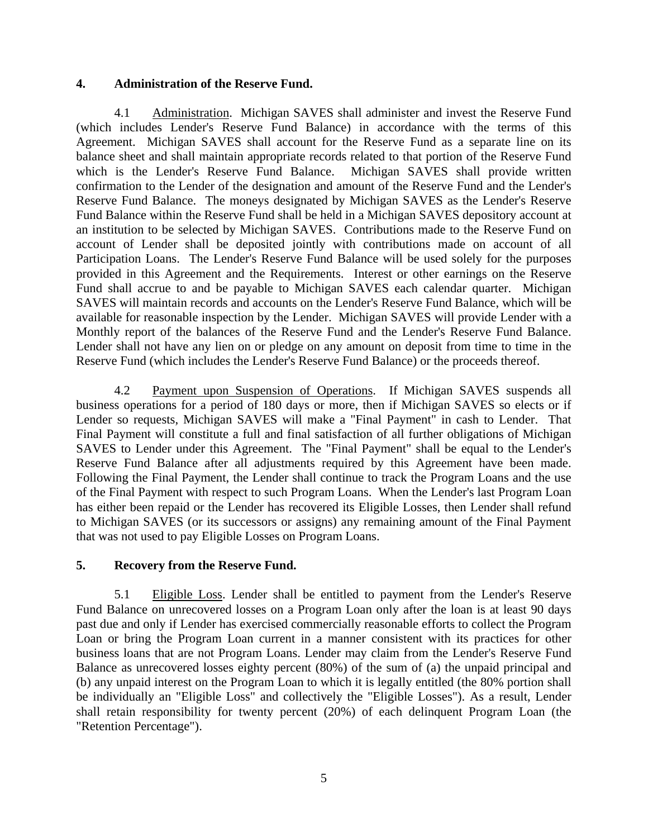#### **4. Administration of the Reserve Fund.**

4.1 Administration. Michigan SAVES shall administer and invest the Reserve Fund (which includes Lender's Reserve Fund Balance) in accordance with the terms of this Agreement. Michigan SAVES shall account for the Reserve Fund as a separate line on its balance sheet and shall maintain appropriate records related to that portion of the Reserve Fund which is the Lender's Reserve Fund Balance. Michigan SAVES shall provide written confirmation to the Lender of the designation and amount of the Reserve Fund and the Lender's Reserve Fund Balance. The moneys designated by Michigan SAVES as the Lender's Reserve Fund Balance within the Reserve Fund shall be held in a Michigan SAVES depository account at an institution to be selected by Michigan SAVES. Contributions made to the Reserve Fund on account of Lender shall be deposited jointly with contributions made on account of all Participation Loans. The Lender's Reserve Fund Balance will be used solely for the purposes provided in this Agreement and the Requirements. Interest or other earnings on the Reserve Fund shall accrue to and be payable to Michigan SAVES each calendar quarter. Michigan SAVES will maintain records and accounts on the Lender's Reserve Fund Balance, which will be available for reasonable inspection by the Lender. Michigan SAVES will provide Lender with a Monthly report of the balances of the Reserve Fund and the Lender's Reserve Fund Balance. Lender shall not have any lien on or pledge on any amount on deposit from time to time in the Reserve Fund (which includes the Lender's Reserve Fund Balance) or the proceeds thereof.

4.2 Payment upon Suspension of Operations. If Michigan SAVES suspends all business operations for a period of 180 days or more, then if Michigan SAVES so elects or if Lender so requests, Michigan SAVES will make a "Final Payment" in cash to Lender. That Final Payment will constitute a full and final satisfaction of all further obligations of Michigan SAVES to Lender under this Agreement. The "Final Payment" shall be equal to the Lender's Reserve Fund Balance after all adjustments required by this Agreement have been made. Following the Final Payment, the Lender shall continue to track the Program Loans and the use of the Final Payment with respect to such Program Loans. When the Lender's last Program Loan has either been repaid or the Lender has recovered its Eligible Losses, then Lender shall refund to Michigan SAVES (or its successors or assigns) any remaining amount of the Final Payment that was not used to pay Eligible Losses on Program Loans.

### **5. Recovery from the Reserve Fund.**

5.1 Eligible Loss. Lender shall be entitled to payment from the Lender's Reserve Fund Balance on unrecovered losses on a Program Loan only after the loan is at least 90 days past due and only if Lender has exercised commercially reasonable efforts to collect the Program Loan or bring the Program Loan current in a manner consistent with its practices for other business loans that are not Program Loans. Lender may claim from the Lender's Reserve Fund Balance as unrecovered losses eighty percent (80%) of the sum of (a) the unpaid principal and (b) any unpaid interest on the Program Loan to which it is legally entitled (the 80% portion shall be individually an "Eligible Loss" and collectively the "Eligible Losses"). As a result, Lender shall retain responsibility for twenty percent (20%) of each delinquent Program Loan (the "Retention Percentage").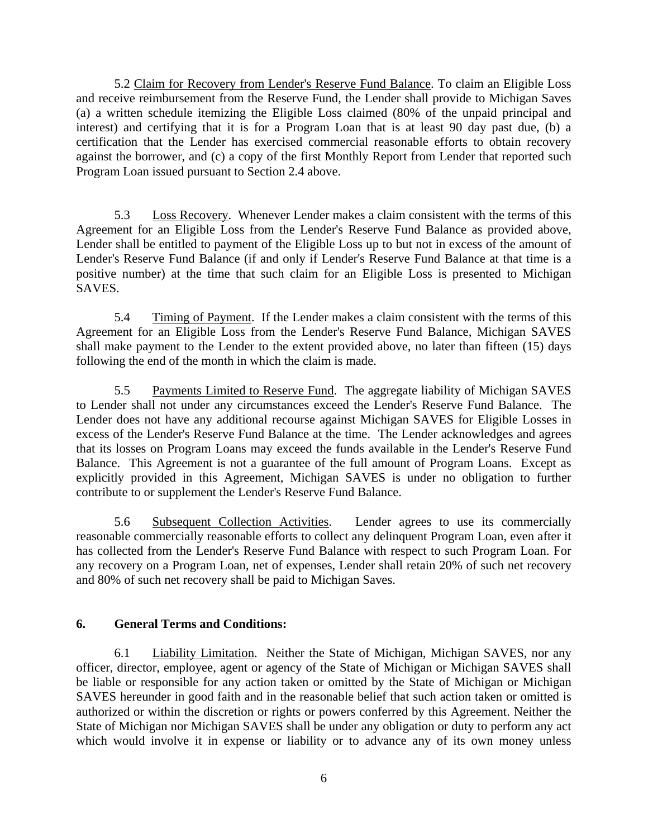5.2 Claim for Recovery from Lender's Reserve Fund Balance. To claim an Eligible Loss and receive reimbursement from the Reserve Fund, the Lender shall provide to Michigan Saves (a) a written schedule itemizing the Eligible Loss claimed (80% of the unpaid principal and interest) and certifying that it is for a Program Loan that is at least 90 day past due, (b) a certification that the Lender has exercised commercial reasonable efforts to obtain recovery against the borrower, and (c) a copy of the first Monthly Report from Lender that reported such Program Loan issued pursuant to Section 2.4 above.

5.3 Loss Recovery. Whenever Lender makes a claim consistent with the terms of this Agreement for an Eligible Loss from the Lender's Reserve Fund Balance as provided above, Lender shall be entitled to payment of the Eligible Loss up to but not in excess of the amount of Lender's Reserve Fund Balance (if and only if Lender's Reserve Fund Balance at that time is a positive number) at the time that such claim for an Eligible Loss is presented to Michigan **SAVES** 

5.4 Timing of Payment. If the Lender makes a claim consistent with the terms of this Agreement for an Eligible Loss from the Lender's Reserve Fund Balance, Michigan SAVES shall make payment to the Lender to the extent provided above, no later than fifteen (15) days following the end of the month in which the claim is made.

5.5 Payments Limited to Reserve Fund. The aggregate liability of Michigan SAVES to Lender shall not under any circumstances exceed the Lender's Reserve Fund Balance. The Lender does not have any additional recourse against Michigan SAVES for Eligible Losses in excess of the Lender's Reserve Fund Balance at the time. The Lender acknowledges and agrees that its losses on Program Loans may exceed the funds available in the Lender's Reserve Fund Balance. This Agreement is not a guarantee of the full amount of Program Loans. Except as explicitly provided in this Agreement, Michigan SAVES is under no obligation to further contribute to or supplement the Lender's Reserve Fund Balance.

5.6 Subsequent Collection Activities. Lender agrees to use its commercially reasonable commercially reasonable efforts to collect any delinquent Program Loan, even after it has collected from the Lender's Reserve Fund Balance with respect to such Program Loan. For any recovery on a Program Loan, net of expenses, Lender shall retain 20% of such net recovery and 80% of such net recovery shall be paid to Michigan Saves.

# **6. General Terms and Conditions:**

6.1 Liability Limitation. Neither the State of Michigan, Michigan SAVES, nor any officer, director, employee, agent or agency of the State of Michigan or Michigan SAVES shall be liable or responsible for any action taken or omitted by the State of Michigan or Michigan SAVES hereunder in good faith and in the reasonable belief that such action taken or omitted is authorized or within the discretion or rights or powers conferred by this Agreement. Neither the State of Michigan nor Michigan SAVES shall be under any obligation or duty to perform any act which would involve it in expense or liability or to advance any of its own money unless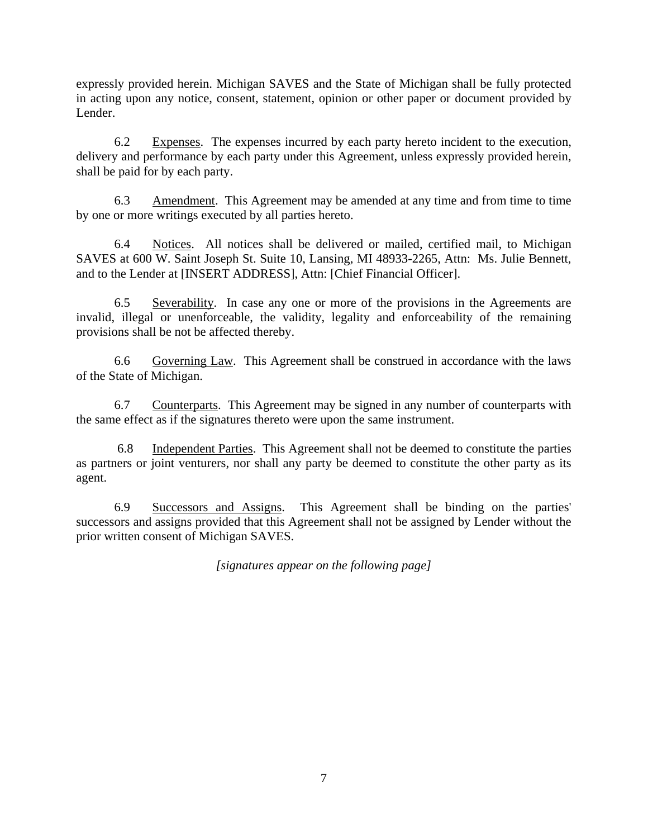expressly provided herein. Michigan SAVES and the State of Michigan shall be fully protected in acting upon any notice, consent, statement, opinion or other paper or document provided by Lender.

6.2 Expenses. The expenses incurred by each party hereto incident to the execution, delivery and performance by each party under this Agreement, unless expressly provided herein, shall be paid for by each party.

6.3 Amendment. This Agreement may be amended at any time and from time to time by one or more writings executed by all parties hereto.

6.4 Notices. All notices shall be delivered or mailed, certified mail, to Michigan SAVES at 600 W. Saint Joseph St. Suite 10, Lansing, MI 48933-2265, Attn: Ms. Julie Bennett, and to the Lender at [INSERT ADDRESS], Attn: [Chief Financial Officer].

6.5 Severability. In case any one or more of the provisions in the Agreements are invalid, illegal or unenforceable, the validity, legality and enforceability of the remaining provisions shall be not be affected thereby.

6.6 Governing Law. This Agreement shall be construed in accordance with the laws of the State of Michigan.

6.7 Counterparts. This Agreement may be signed in any number of counterparts with the same effect as if the signatures thereto were upon the same instrument.

6.8 Independent Parties. This Agreement shall not be deemed to constitute the parties as partners or joint venturers, nor shall any party be deemed to constitute the other party as its agent.

6.9 Successors and Assigns. This Agreement shall be binding on the parties' successors and assigns provided that this Agreement shall not be assigned by Lender without the prior written consent of Michigan SAVES.

*[signatures appear on the following page]*